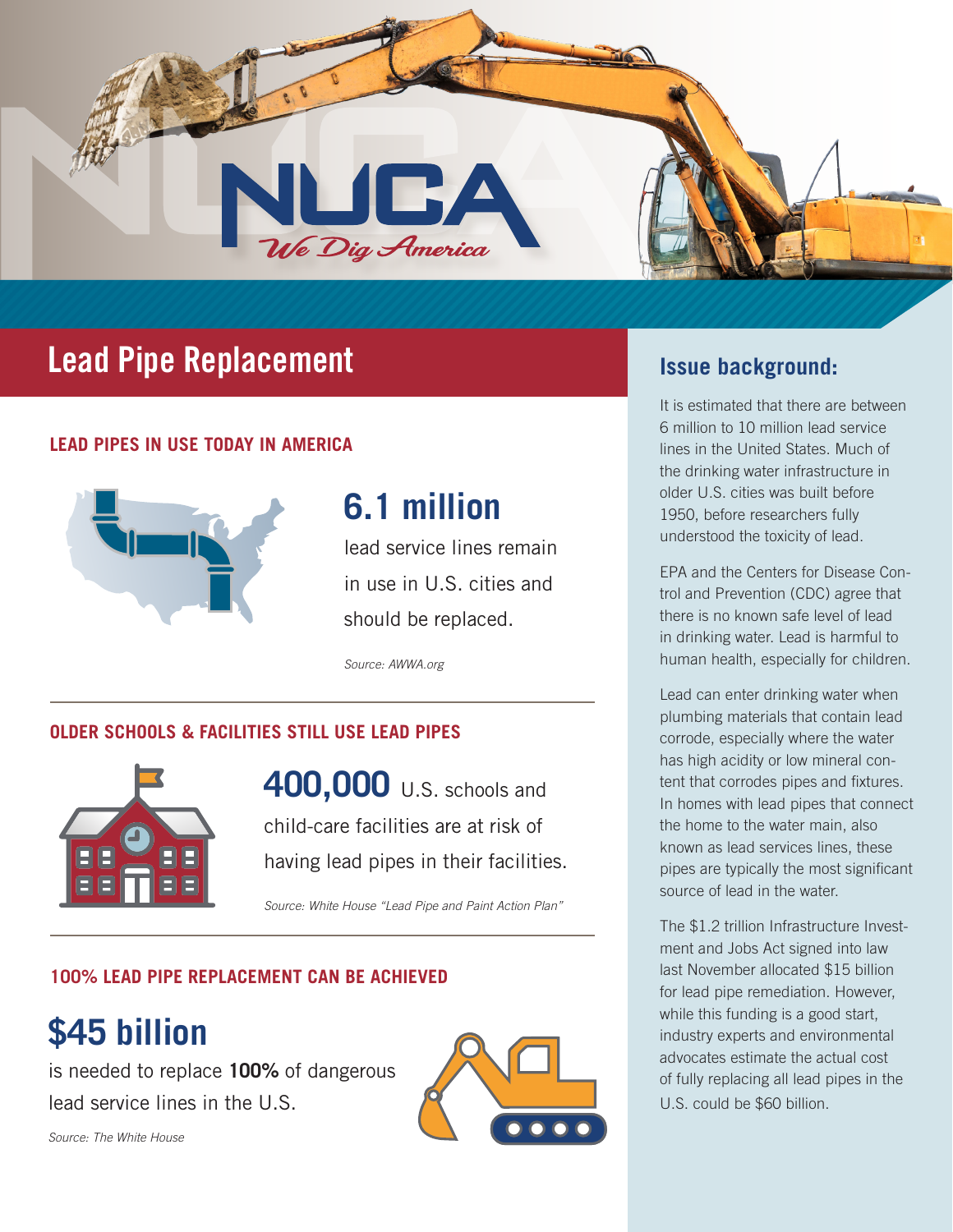

## **Lead Pipe Replacement Issue background:**

### **LEAD PIPES IN USE TODAY IN AMERICA**



# **6.1 million**

lead service lines remain in use in U.S. cities and should be replaced.

*Source: AWWA.org*

### **OLDER SCHOOLS & FACILITIES STILL USE LEAD PIPES**



**400,000 U.S. schools and** child-care facilities are at risk of having lead pipes in their facilities.

*Source: White House "Lead Pipe and Paint Action Plan"*

### **100% LEAD PIPE REPLACEMENT CAN BE ACHIEVED**

# **\$45 billion**

is needed to replace **100%** of dangerous lead service lines in the U.S.



It is estimated that there are between 6 million to 10 million lead service lines in the United States. Much of the drinking water infrastructure in older U.S. cities was built before 1950, before researchers fully understood the toxicity of lead.

EPA and the Centers for Disease Control and Prevention (CDC) agree that there is no known safe level of lead in drinking water. Lead is harmful to human health, especially for children.

Lead can enter drinking water when plumbing materials that contain lead corrode, especially where the water has high acidity or low mineral content that corrodes pipes and fixtures. In homes with lead pipes that connect the home to the water main, also known as lead services lines, these pipes are typically the most significant source of lead in the water.

The \$1.2 trillion Infrastructure Investment and Jobs Act signed into law last November allocated \$15 billion for lead pipe remediation. However, while this funding is a good start, industry experts and environmental advocates estimate the actual cost of fully replacing all lead pipes in the U.S. could be \$60 billion.

*Source: The White House*